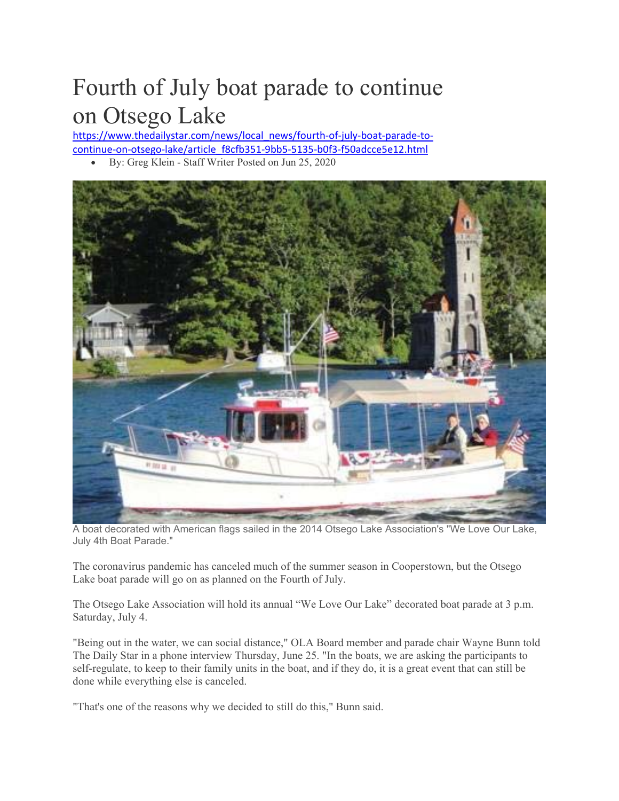## Fourth of July boat parade to continue on Otsego Lake

https://www.thedailystar.com/news/local\_news/fourth-of-july-boat-parade-tocontinue‐on‐otsego‐lake/article\_f8cfb351‐9bb5‐5135‐b0f3‐f50adcce5e12.html

By: Greg Klein - Staff Writer Posted on Jun 25, 2020



A boat decorated with American flags sailed in the 2014 Otsego Lake Association's "We Love Our Lake, July 4th Boat Parade."

The coronavirus pandemic has canceled much of the summer season in Cooperstown, but the Otsego Lake boat parade will go on as planned on the Fourth of July.

The Otsego Lake Association will hold its annual "We Love Our Lake" decorated boat parade at 3 p.m. Saturday, July 4.

"Being out in the water, we can social distance," OLA Board member and parade chair Wayne Bunn told The Daily Star in a phone interview Thursday, June 25. "In the boats, we are asking the participants to self-regulate, to keep to their family units in the boat, and if they do, it is a great event that can still be done while everything else is canceled.

"That's one of the reasons why we decided to still do this," Bunn said.